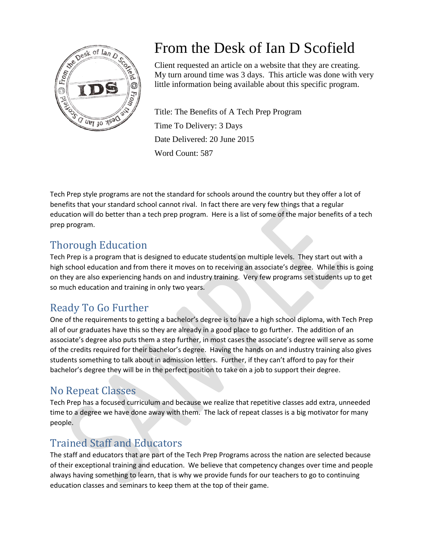

# From the Desk of Ian D Scofield

Client requested an article on a website that they are creating. My turn around time was 3 days. This article was done with very little information being available about this specific program.

Title: The Benefits of A Tech Prep Program Time To Delivery: 3 Days Date Delivered: 20 June 2015 Word Count: 587

Tech Prep style programs are not the standard for schools around the country but they offer a lot of benefits that your standard school cannot rival. In fact there are very few things that a regular education will do better than a tech prep program. Here is a list of some of the major benefits of a tech prep program.

## Thorough Education

Tech Prep is a program that is designed to educate students on multiple levels. They start out with a high school education and from there it moves on to receiving an associate's degree. While this is going on they are also experiencing hands on and industry training. Very few programs set students up to get so much education and training in only two years.

## Ready To Go Further

One of the requirements to getting a bachelor's degree is to have a high school diploma, with Tech Prep all of our graduates have this so they are already in a good place to go further. The addition of an associate's degree also puts them a step further, in most cases the associate's degree will serve as some of the credits required for their bachelor's degree. Having the hands on and industry training also gives students something to talk about in admission letters. Further, if they can't afford to pay for their bachelor's degree they will be in the perfect position to take on a job to support their degree.

#### No Repeat Classes

Tech Prep has a focused curriculum and because we realize that repetitive classes add extra, unneeded time to a degree we have done away with them. The lack of repeat classes is a big motivator for many people.

#### Trained Staff and Educators

The staff and educators that are part of the Tech Prep Programs across the nation are selected because of their exceptional training and education. We believe that competency changes over time and people always having something to learn, that is why we provide funds for our teachers to go to continuing education classes and seminars to keep them at the top of their game.